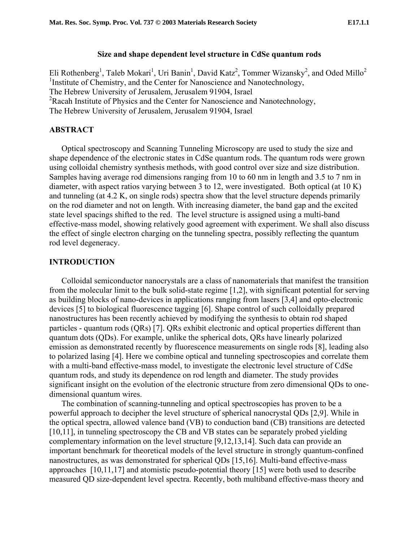### **Size and shape dependent level structure in CdSe quantum rods**

Eli Rothenberg<sup>1</sup>, Taleb Mokari<sup>1</sup>, Uri Banin<sup>1</sup>, David Katz<sup>2</sup>, Tommer Wizansky<sup>2</sup>, and Oded Millo<sup>2</sup> <sup>1</sup>Institute of Chemistry, and the Center for Nanoscience and Nanotechnology, The Hebrew University of Jerusalem, Jerusalem 91904, Israel <sup>2</sup>Racah Institute of Physics and the Center for Nanoscience and Nanotechnology, The Hebrew University of Jerusalem, Jerusalem 91904, Israel

## **ABSTRACT**

Optical spectroscopy and Scanning Tunneling Microscopy are used to study the size and shape dependence of the electronic states in CdSe quantum rods. The quantum rods were grown using colloidal chemistry synthesis methods, with good control over size and size distribution. Samples having average rod dimensions ranging from 10 to 60 nm in length and 3.5 to 7 nm in diameter, with aspect ratios varying between 3 to 12, were investigated. Both optical (at 10 K) and tunneling (at 4.2 K, on single rods) spectra show that the level structure depends primarily on the rod diameter and not on length. With increasing diameter, the band gap and the excited state level spacings shifted to the red. The level structure is assigned using a multi-band effective-mass model, showing relatively good agreement with experiment. We shall also discuss the effect of single electron charging on the tunneling spectra, possibly reflecting the quantum rod level degeneracy.

### **INTRODUCTION**

<span id="page-0-5"></span><span id="page-0-1"></span><span id="page-0-0"></span>Colloidal semiconductor nanocrystals are a class of nanomaterials that manifest the transition from the molecular limit to the bulk solid-state regime [\[1,](#page-9-0)[2\]](#page-9-1), with significant potential for serving as building blocks of nano-devices in applications ranging from lasers [[3,4\]](#page-9-2) and opto-electronic devices [[5\]](#page-9-3) to biological fluorescence tagging [\[6\]](#page-9-3). Shape control of such colloidally prepared nanostructures has been recently achieved by modifying the synthesis to obtain rod shaped particles - quantum rods (QRs) [[7\]](#page-9-4). QRs exhibit electronic and optical properties different than quantum dots (QDs). For example, unlike the spherical dots, QRs have linearly polarized emission as demonstrated recently by fluorescence measurements on single rods [\[8\]](#page-9-5), leading also to polarized lasing [[4\]](#page-0-0). Here we combine optical and tunneling spectroscopies and correlate them with a multi-band effective-mass model, to investigate the electronic level structure of CdSe quantum rods, and study its dependence on rod length and diameter. The study provides significant insight on the evolution of the electronic structure from zero dimensional QDs to onedimensional quantum wires.

<span id="page-0-9"></span><span id="page-0-8"></span><span id="page-0-7"></span><span id="page-0-6"></span><span id="page-0-4"></span><span id="page-0-3"></span><span id="page-0-2"></span>The combination of scanning-tunneling and optical spectroscopies has proven to be a powerful approach to decipher the level structure of spherical nanocrystal QDs [[2,](#page-0-1)[9\]](#page-9-6). While in the optical spectra, allowed valence band (VB) to conduction band (CB) transitions are detected [[10,11\]](#page-9-7), in tunneling spectroscopy the CB and VB states can be separately probed yielding complementary information on the level structure [[9,](#page-0-2)[12,13,14\]](#page-9-8). Such data can provide an important benchmark for theoretical models of the level structure in strongly quantum-confined nanostructures, as was demonstrated for spherical QDs [\[15,16\]](#page-9-9). Multi-band effective-mass approaches [[10,](#page-0-3)[11,](#page-0-4)[17\]](#page-9-10) and atomistic pseudo-potential theory [15] were both used to describe measured QD size-dependent level spectra. Recently, both multiband effective-mass theory and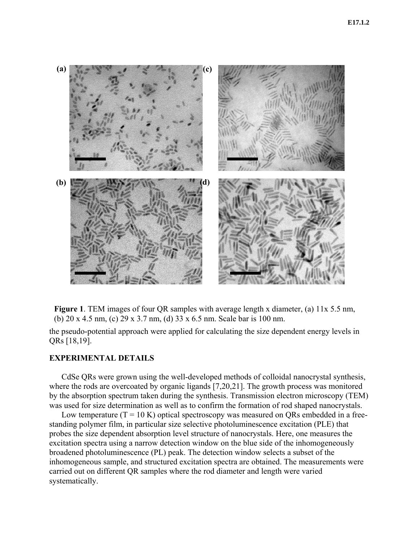

**Figure 1**. TEM images of four QR samples with average length x diameter, (a) 11x 5.5 nm, (b) 20 x 4.5 nm, (c) 29 x 3.7 nm, (d) 33 x 6.5 nm. Scale bar is 100 nm.

the pseudo-potential approach were applied for calculating the size dependent energy levels in QRs [[18,19\]](#page-9-11).

# **EXPERIMENTAL DETAILS**

CdSe QRs were grown using the well-developed methods of colloidal nanocrystal synthesis, where the rods are overcoated by organic ligands [[7,](#page-0-5)[20,21\]](#page-9-12). The growth process was monitored by the absorption spectrum taken during the synthesis. Transmission electron microscopy (TEM) was used for size determination as well as to confirm the formation of rod shaped nanocrystals.

Low temperature  $(T = 10 K)$  optical spectroscopy was measured on QRs embedded in a freestanding polymer film, in particular size selective photoluminescence excitation (PLE) that probes the size dependent absorption level structure of nanocrystals. Here, one measures the excitation spectra using a narrow detection window on the blue side of the inhomogeneously broadened photoluminescence (PL) peak. The detection window selects a subset of the inhomogeneous sample, and structured excitation spectra are obtained. The measurements were carried out on different QR samples where the rod diameter and length were varied systematically.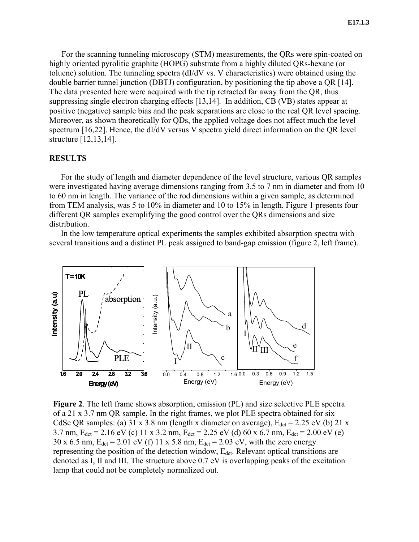For the scanning tunneling microscopy (STM) measurements, the QRs were spin-coated on highly oriented pyrolitic graphite (HOPG) substrate from a highly diluted QRs-hexane (or toluene) solution. The tunneling spectra (dI/dV vs. V characteristics) were obtained using the double barrier tunnel junction (DBTJ) configuration, by positioning the tip above a QR [[14\]](#page-0-6). The data presented here were acquired with the tip retracted far away from the QR, thus suppressing single electron charging effects [[13,](#page-0-7)[14\]](#page-0-6). In addition, CB (VB) states appear at positive (negative) sample bias and the peak separations are close to the real QR level spacing. Moreover, as shown theoretically for QDs, the applied voltage does not affect much the level spectrum [[16,](#page-0-8)[22\]](#page-9-13). Hence, the dI/dV versus V spectra yield direct information on the QR level structure [[12,](#page-0-9)[13,](#page-0-7)[14\]](#page-0-6).

# **RESULTS**

For the study of length and diameter dependence of the level structure, various QR samples were investigated having average dimensions ranging from 3.5 to 7 nm in diameter and from 10 to 60 nm in length. The variance of the rod dimensions within a given sample, as determined from TEM analysis, was 5 to 10% in diameter and 10 to 15% in length. Figure 1 presents four different QR samples exemplifying the good control over the QRs dimensions and size distribution.

In the low temperature optical experiments the samples exhibited absorption spectra with several transitions and a distinct PL peak assigned to band-gap emission (figure 2, left frame).



**Figure 2**. The left frame shows absorption, emission (PL) and size selective PLE spectra of a 21 x 3.7 nm QR sample. In the right frames, we plot PLE spectra obtained for six CdSe QR samples: (a) 31 x 3.8 nm (length x diameter on average),  $E_{det} = 2.25$  eV (b) 21 x 3.7 nm,  $E_{det} = 2.16 \text{ eV}$  (c) 11 x 3.2 nm,  $E_{det} = 2.25 \text{ eV}$  (d) 60 x 6.7 nm,  $E_{det} = 2.00 \text{ eV}$  (e) 30 x 6.5 nm,  $E_{\text{det}} = 2.01 \text{ eV}$  (f) 11 x 5.8 nm,  $E_{\text{det}} = 2.03 \text{ eV}$ , with the zero energy representing the position of the detection window, E<sub>det</sub>. Relevant optical transitions are denoted as I, II and III. The structure above 0.7 eV is overlapping peaks of the excitation lamp that could not be completely normalized out.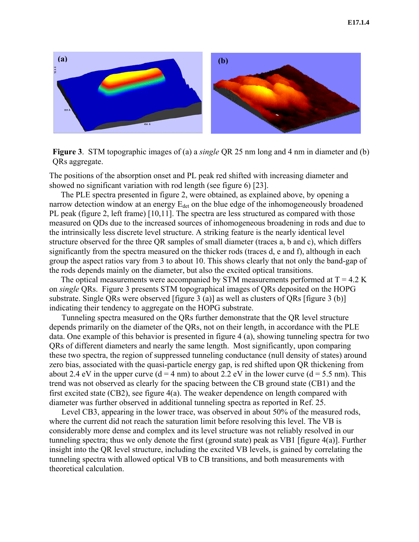



The positions of the absorption onset and PL peak red shifted with increasing diameter and showed no significant variation with rod length (see figure 6) [[23\]](#page-9-14).

The PLE spectra presented in figure 2, were obtained, as explained above, by opening a narrow detection window at an energy  $E_{\text{det}}$  on the blue edge of the inhomogeneously broadened PL peak (figure 2, left frame) [[10,](#page-0-3)[11\]](#page-0-4). The spectra are less structured as compared with those measured on QDs due to the increased sources of inhomogeneous broadening in rods and due to the intrinsically less discrete level structure. A striking feature is the nearly identical level structure observed for the three QR samples of small diameter (traces a, b and c), which differs significantly from the spectra measured on the thicker rods (traces d, e and f), although in each group the aspect ratios vary from 3 to about 10. This shows clearly that not only the band-gap of the rods depends mainly on the diameter, but also the excited optical transitions.

The optical measurements were accompanied by STM measurements performed at  $T = 4.2$  K on *single* QRs. Figure 3 presents STM topographical images of QRs deposited on the HOPG substrate. Single QRs were observed [figure 3 (a)] as well as clusters of QRs [figure 3 (b)] indicating their tendency to aggregate on the HOPG substrate.

Tunneling spectra measured on the QRs further demonstrate that the QR level structure depends primarily on the diameter of the QRs, not on their length, in accordance with the PLE data. One example of this behavior is presented in figure 4 (a), showing tunneling spectra for two QRs of different diameters and nearly the same length. Most significantly, upon comparing these two spectra, the region of suppressed tunneling conductance (null density of states) around zero bias, associated with the quasi-particle energy gap, is red shifted upon QR thickening from about 2.4 eV in the upper curve  $(d = 4 \text{ nm})$  to about 2.2 eV in the lower curve  $(d = 5.5 \text{ nm})$ . This trend was not observed as clearly for the spacing between the CB ground state (CB1) and the first excited state (CB2), see figure 4(a). The weaker dependence on length compared with diameter was further observed in additional tunneling spectra as reported in Ref. [25.](#page-5-0)

Level CB3, appearing in the lower trace, was observed in about 50% of the measured rods, where the current did not reach the saturation limit before resolving this level. The VB is considerably more dense and complex and its level structure was not reliably resolved in our tunneling spectra; thus we only denote the first (ground state) peak as VB1 [figure 4(a)]. Further insight into the QR level structure, including the excited VB levels, is gained by correlating the tunneling spectra with allowed optical VB to CB transitions, and both measurements with theoretical calculation.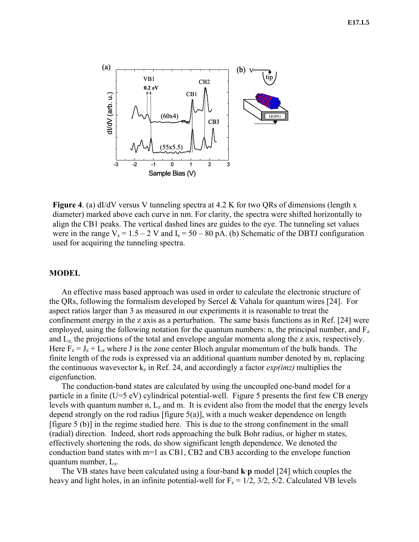

**Figure 4.** (a) dI/dV versus V tunneling spectra at 4.2 K for two QRs of dimensions (length x diameter) marked above each curve in nm. For clarity, the spectra were shifted horizontally to align the CB1 peaks. The vertical dashed lines are guides to the eye. The tunneling set values were in the range  $V_s = 1.5 - 2$  V and  $I_s = 50 - 80$  pA. (b) Schematic of the DBTJ configuration used for acquiring the tunneling spectra.

## **MODEL**

<span id="page-4-1"></span><span id="page-4-0"></span>An effective mass based approach was used in order to calculate the electronic structure of the QRs, following the formalism developed by Sercel & Vahala for quantum wires [[24\]](#page-9-15). For aspect ratios larger than 3 as measured in our experiments it is reasonable to treat the confinement energy in the z axis as a perturbation. The same basis functions as in Ref. [[24\]](#page-4-0) were employed, using the following notation for the quantum numbers: n, the principal number, and  $F_z$ and  $L<sub>z</sub>$  the projections of the total and envelope angular momenta along the z axis, respectively. Here  $F_z = J_z + L_z$  where J is the zone center Bloch angular momentum of the bulk bands. The finite length of the rods is expressed via an additional quantum number denoted by m, replacing the continuous wavevector  $k_z$  in Ref. [24,](#page-4-1) and accordingly a factor  $exp(imz)$  multiplies the eigenfunction.

The conduction-band states are calculated by using the uncoupled one-band model for a particle in a finite (U=5 eV) cylindrical potential-well. Figure 5 presents the first few CB energy levels with quantum number n,  $L_z$  and m. It is evident also from the model that the energy levels depend strongly on the rod radius [figure 5(a)], with a much weaker dependence on length [figure 5 (b)] in the regime studied here. This is due to the strong confinement in the small (radial) direction. Indeed, short rods approaching the bulk Bohr radius, or higher m states, effectively shortening the rods, do show significant length dependence. We denoted the conduction band states with m=1 as CB1, CB2 and CB3 according to the envelope function quantum number,  $L_z$ .

The VB states have been calculated using a four-band **k**·**p** model [\[24\]](#page-4-0) which couples the heavy and light holes, in an infinite potential-well for  $F_z = 1/2$ ,  $3/2$ ,  $5/2$ . Calculated VB levels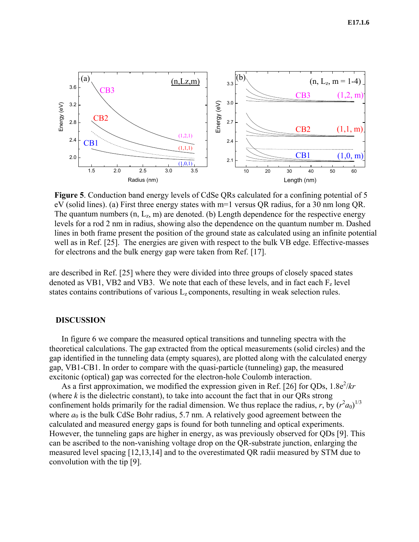

**Figure 5**. Conduction band energy levels of CdSe QRs calculated for a confining potential of 5 eV (solid lines). (a) First three energy states with m=1 versus QR radius, for a 30 nm long QR. The quantum numbers  $(n, L_z, m)$  are denoted. (b) Length dependence for the respective energy levels for a rod 2 nm in radius, showing also the dependence on the quantum number m. Dashed lines in both frame present the position of the ground state as calculated using an infinite potential well as in Ref. [25]. The energies are given with respect to the bulk VB edge. Effective-masses for electrons and the bulk energy gap were taken from Ref. [17].

<span id="page-5-0"></span>are described in Ref. [[25\]](#page-9-16) where they were divided into three groups of closely spaced states denoted as VB1, VB2 and VB3. We note that each of these levels, and in fact each  $F<sub>z</sub>$  level states contains contributions of various  $L<sub>z</sub>$  components, resulting in weak selection rules.

#### **DISCUSSION**

In figure 6 we compare the measured optical transitions and tunneling spectra with the theoretical calculations. The gap extracted from the optical measurements (solid circles) and the gap identified in the tunneling data (empty squares), are plotted along with the calculated energy gap, VB1-CB1. In order to compare with the quasi-particle (tunneling) gap, the measured excitonic (optical) gap was corrected for the electron-hole Coulomb interaction.

As a first approximation, we modified the expression given in Ref. [\[26\]](#page-9-12) for QDs, 1.8e<sup>2</sup>/kr (where *k* is the dielectric constant), to take into account the fact that in our QRs strong confinement holds primarily for the radial dimension. We thus replace the radius, *r*, by  $(r^2a_0)^{1/3}$ where  $a_0$  is the bulk CdSe Bohr radius, 5.7 nm. A relatively good agreement between the calculated and measured energy gaps is found for both tunneling and optical experiments. However, the tunneling gaps are higher in energy, as was previously observed for QDs [[9\]](#page-0-2). This can be ascribed to the non-vanishing voltage drop on the QR-substrate junction, enlarging the measured level spacing [[12,](#page-0-9)[13,](#page-0-7)[14\]](#page-0-6) and to the overestimated QR radii measured by STM due to convolution with the tip [\[9\]](#page-0-2).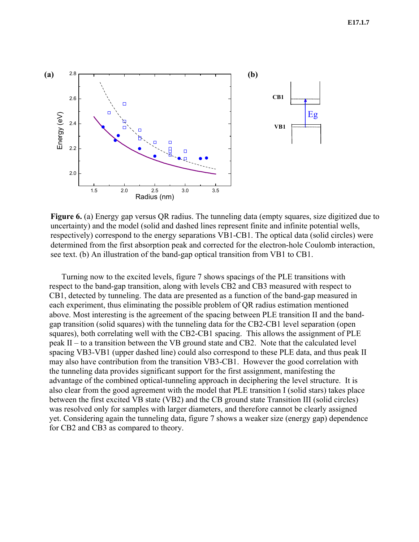

**Figure 6.** (a) Energy gap versus QR radius. The tunneling data (empty squares, size digitized due to uncertainty) and the model (solid and dashed lines represent finite and infinite potential wells, respectively) correspond to the energy separations VB1-CB1. The optical data (solid circles) were determined from the first absorption peak and corrected for the electron-hole Coulomb interaction, see text. (b) An illustration of the band-gap optical transition from VB1 to CB1.

Turning now to the excited levels, figure 7 shows spacings of the PLE transitions with respect to the band-gap transition, along with levels CB2 and CB3 measured with respect to CB1, detected by tunneling. The data are presented as a function of the band-gap measured in each experiment, thus eliminating the possible problem of QR radius estimation mentioned above. Most interesting is the agreement of the spacing between PLE transition II and the bandgap transition (solid squares) with the tunneling data for the CB2-CB1 level separation (open squares), both correlating well with the CB2-CB1 spacing. This allows the assignment of PLE peak II – to a transition between the VB ground state and CB2. Note that the calculated level spacing VB3-VB1 (upper dashed line) could also correspond to these PLE data, and thus peak II may also have contribution from the transition VB3-CB1. However the good correlation with the tunneling data provides significant support for the first assignment, manifesting the advantage of the combined optical-tunneling approach in deciphering the level structure. It is also clear from the good agreement with the model that PLE transition I (solid stars) takes place between the first excited VB state (VB2) and the CB ground state Transition III (solid circles) was resolved only for samples with larger diameters, and therefore cannot be clearly assigned yet. Considering again the tunneling data, figure 7 shows a weaker size (energy gap) dependence for CB2 and CB3 as compared to theory.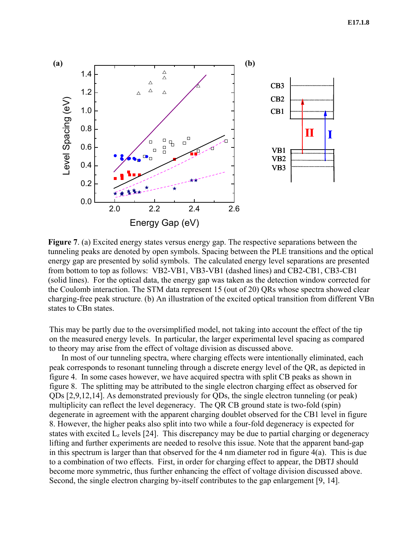

**Figure 7**. (a) Excited energy states versus energy gap. The respective separations between the tunneling peaks are denoted by open symbols. Spacing between the PLE transitions and the optical energy gap are presented by solid symbols. The calculated energy level separations are presented from bottom to top as follows: VB2-VB1, VB3-VB1 (dashed lines) and CB2-CB1, CB3-CB1 (solid lines). For the optical data, the energy gap was taken as the detection window corrected for the Coulomb interaction. The STM data represent 15 (out of 20) QRs whose spectra showed clear charging-free peak structure. (b) An illustration of the excited optical transition from different VBn states to CBn states.

This may be partly due to the oversimplified model, not taking into account the effect of the tip on the measured energy levels. In particular, the larger experimental level spacing as compared to theory may arise from the effect of voltage division as discussed above.

In most of our tunneling spectra, where charging effects were intentionally eliminated, each peak corresponds to resonant tunneling through a discrete energy level of the QR, as depicted in figure 4. In some cases however, we have acquired spectra with split CB peaks as shown in figure 8. The splitting may be attributed to the single electron charging effect as observed for QDs [[2,](#page-0-1)[9,](#page-0-2)[12,](#page-0-9)[14\]](#page-0-6). As demonstrated previously for QDs, the single electron tunneling (or peak) multiplicity can reflect the level degeneracy. The QR CB ground state is two-fold (spin) degenerate in agreement with the apparent charging doublet observed for the CB1 level in figure 8. However, the higher peaks also split into two while a four-fold degeneracy is expected for states with excited  $L_z$  levels [[24\]](#page-4-1). This discrepancy may be due to partial charging or degeneracy lifting and further experiments are needed to resolve this issue. Note that the apparent band-gap in this spectrum is larger than that observed for the 4 nm diameter rod in figure 4(a). This is due to a combination of two effects. First, in order for charging effect to appear, the DBTJ should become more symmetric, thus further enhancing the effect of voltage division discussed above. Second, the single electron charging by-itself contributes to the gap enlargement [[9,](#page-0-2) [14\]](#page-0-6).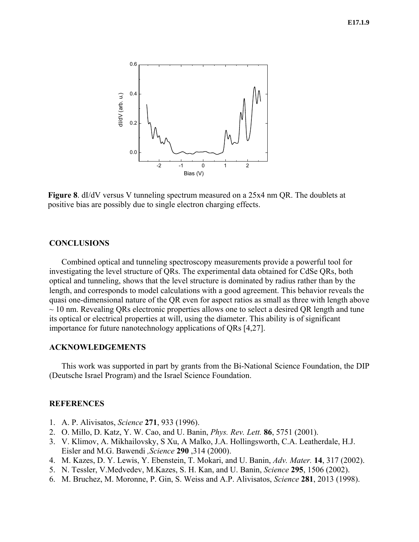#### **E17.1.9**



**Figure 8**. dI/dV versus V tunneling spectrum measured on a 25x4 nm QR. The doublets at positive bias are possibly due to single electron charging effects.

### **CONCLUSIONS**

Combined optical and tunneling spectroscopy measurements provide a powerful tool for investigating the level structure of QRs. The experimental data obtained for CdSe QRs, both optical and tunneling, shows that the level structure is dominated by radius rather than by the length, and corresponds to model calculations with a good agreement. This behavior reveals the quasi one-dimensional nature of the QR even for aspect ratios as small as three with length above  $\sim$  10 nm. Revealing QRs electronic properties allows one to select a desired QR length and tune its optical or electrical properties at will, using the diameter. This ability is of significant importance for future nanotechnology applications of QRs [[4,](#page-0-0)[27\]](#page-9-17).

### **ACKNOWLEDGEMENTS**

This work was supported in part by grants from the Bi-National Science Foundation, the DIP (Deutsche Israel Program) and the Israel Science Foundation.

#### **REFERENCES**

- 1. A. P. Alivisatos, *Science* **271**, 933 (1996).
- 2. O. Millo, D. Katz, Y. W. Cao, and U. Banin, *Phys. Rev. Lett.* **86**, 5751 (2001).
- 3. V. Klimov, A. Mikhailovsky, S Xu, A Malko, J.A. Hollingsworth, C.A. Leatherdale, H.J. Eisler and M.G. Bawendi *,Science* **290** ,314 (2000).
- 4. M. Kazes, D. Y. Lewis, Y. Ebenstein, T. Mokari, and U. Banin, *Adv. Mater.* **14**, 317 (2002).
- 5. N. Tessler, V.Medvedev, M.Kazes, S. H. Kan, and U. Banin, *Science* **295**, 1506 (2002).
- 6. M. Bruchez, M. Moronne, P. Gin, S. Weiss and A.P. Alivisatos, *Science* **281**, 2013 (1998).